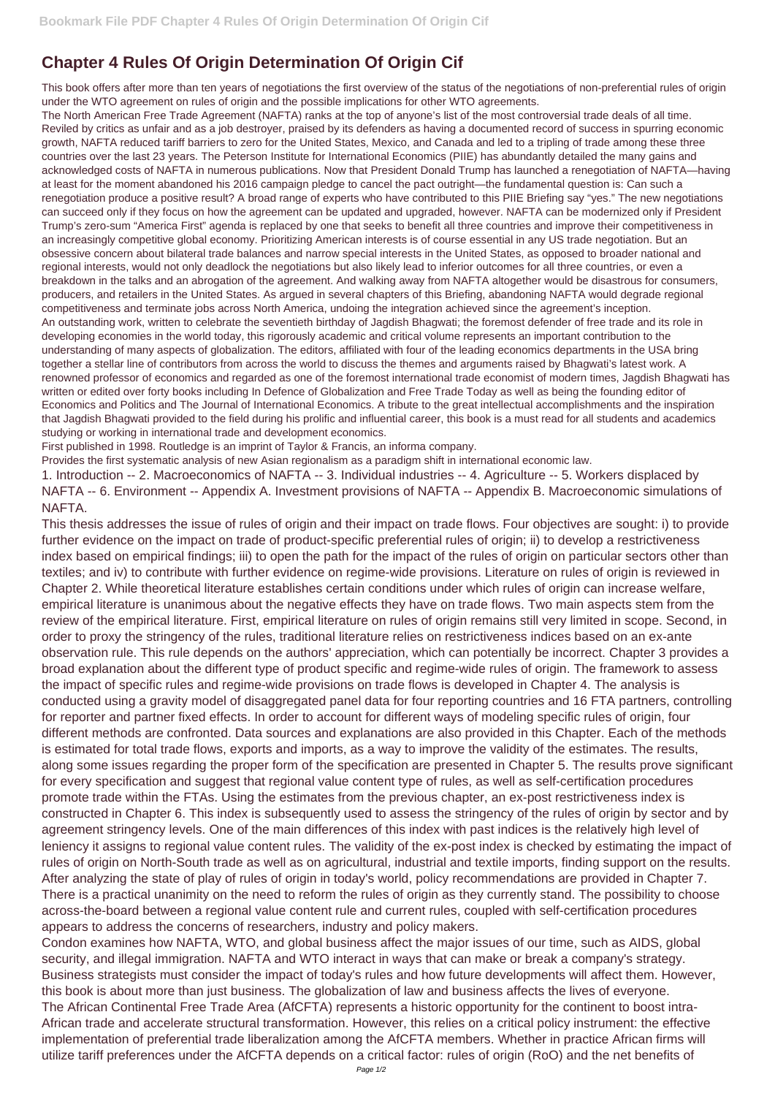## **Chapter 4 Rules Of Origin Determination Of Origin Cif**

This book offers after more than ten years of negotiations the first overview of the status of the negotiations of non-preferential rules of origin under the WTO agreement on rules of origin and the possible implications for other WTO agreements.

The North American Free Trade Agreement (NAFTA) ranks at the top of anyone's list of the most controversial trade deals of all time. Reviled by critics as unfair and as a job destroyer, praised by its defenders as having a documented record of success in spurring economic growth, NAFTA reduced tariff barriers to zero for the United States, Mexico, and Canada and led to a tripling of trade among these three countries over the last 23 years. The Peterson Institute for International Economics (PIIE) has abundantly detailed the many gains and acknowledged costs of NAFTA in numerous publications. Now that President Donald Trump has launched a renegotiation of NAFTA—having at least for the moment abandoned his 2016 campaign pledge to cancel the pact outright—the fundamental question is: Can such a renegotiation produce a positive result? A broad range of experts who have contributed to this PIIE Briefing say "yes." The new negotiations can succeed only if they focus on how the agreement can be updated and upgraded, however. NAFTA can be modernized only if President Trump's zero-sum "America First" agenda is replaced by one that seeks to benefit all three countries and improve their competitiveness in an increasingly competitive global economy. Prioritizing American interests is of course essential in any US trade negotiation. But an obsessive concern about bilateral trade balances and narrow special interests in the United States, as opposed to broader national and regional interests, would not only deadlock the negotiations but also likely lead to inferior outcomes for all three countries, or even a breakdown in the talks and an abrogation of the agreement. And walking away from NAFTA altogether would be disastrous for consumers, producers, and retailers in the United States. As argued in several chapters of this Briefing, abandoning NAFTA would degrade regional competitiveness and terminate jobs across North America, undoing the integration achieved since the agreement's inception. An outstanding work, written to celebrate the seventieth birthday of Jagdish Bhagwati; the foremost defender of free trade and its role in developing economies in the world today, this rigorously academic and critical volume represents an important contribution to the understanding of many aspects of globalization. The editors, affiliated with four of the leading economics departments in the USA bring together a stellar line of contributors from across the world to discuss the themes and arguments raised by Bhagwati's latest work. A renowned professor of economics and regarded as one of the foremost international trade economist of modern times, Jagdish Bhagwati has written or edited over forty books including In Defence of Globalization and Free Trade Today as well as being the founding editor of Economics and Politics and The Journal of International Economics. A tribute to the great intellectual accomplishments and the inspiration that Jagdish Bhagwati provided to the field during his prolific and influential career, this book is a must read for all students and academics studying or working in international trade and development economics.

First published in 1998. Routledge is an imprint of Taylor & Francis, an informa company.

Provides the first systematic analysis of new Asian regionalism as a paradigm shift in international economic law.

1. Introduction -- 2. Macroeconomics of NAFTA -- 3. Individual industries -- 4. Agriculture -- 5. Workers displaced by NAFTA -- 6. Environment -- Appendix A. Investment provisions of NAFTA -- Appendix B. Macroeconomic simulations of NAFTA.

This thesis addresses the issue of rules of origin and their impact on trade flows. Four objectives are sought: i) to provide further evidence on the impact on trade of product-specific preferential rules of origin; ii) to develop a restrictiveness index based on empirical findings; iii) to open the path for the impact of the rules of origin on particular sectors other than textiles; and iv) to contribute with further evidence on regime-wide provisions. Literature on rules of origin is reviewed in Chapter 2. While theoretical literature establishes certain conditions under which rules of origin can increase welfare, empirical literature is unanimous about the negative effects they have on trade flows. Two main aspects stem from the review of the empirical literature. First, empirical literature on rules of origin remains still very limited in scope. Second, in order to proxy the stringency of the rules, traditional literature relies on restrictiveness indices based on an ex-ante observation rule. This rule depends on the authors' appreciation, which can potentially be incorrect. Chapter 3 provides a broad explanation about the different type of product specific and regime-wide rules of origin. The framework to assess the impact of specific rules and regime-wide provisions on trade flows is developed in Chapter 4. The analysis is conducted using a gravity model of disaggregated panel data for four reporting countries and 16 FTA partners, controlling for reporter and partner fixed effects. In order to account for different ways of modeling specific rules of origin, four different methods are confronted. Data sources and explanations are also provided in this Chapter. Each of the methods is estimated for total trade flows, exports and imports, as a way to improve the validity of the estimates. The results, along some issues regarding the proper form of the specification are presented in Chapter 5. The results prove significant for every specification and suggest that regional value content type of rules, as well as self-certification procedures promote trade within the FTAs. Using the estimates from the previous chapter, an ex-post restrictiveness index is constructed in Chapter 6. This index is subsequently used to assess the stringency of the rules of origin by sector and by agreement stringency levels. One of the main differences of this index with past indices is the relatively high level of leniency it assigns to regional value content rules. The validity of the ex-post index is checked by estimating the impact of rules of origin on North-South trade as well as on agricultural, industrial and textile imports, finding support on the results. After analyzing the state of play of rules of origin in today's world, policy recommendations are provided in Chapter 7. There is a practical unanimity on the need to reform the rules of origin as they currently stand. The possibility to choose across-the-board between a regional value content rule and current rules, coupled with self-certification procedures appears to address the concerns of researchers, industry and policy makers. Condon examines how NAFTA, WTO, and global business affect the major issues of our time, such as AIDS, global security, and illegal immigration. NAFTA and WTO interact in ways that can make or break a company's strategy. Business strategists must consider the impact of today's rules and how future developments will affect them. However, this book is about more than just business. The globalization of law and business affects the lives of everyone. The African Continental Free Trade Area (AfCFTA) represents a historic opportunity for the continent to boost intra-African trade and accelerate structural transformation. However, this relies on a critical policy instrument: the effective implementation of preferential trade liberalization among the AfCFTA members. Whether in practice African firms will utilize tariff preferences under the AfCFTA depends on a critical factor: rules of origin (RoO) and the net benefits of